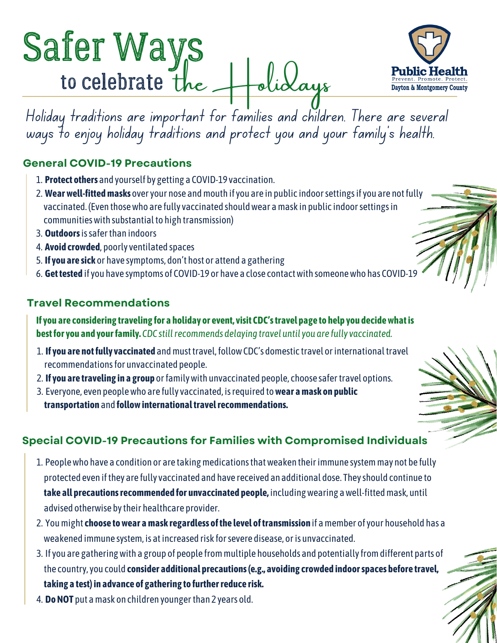# Safer Ways to celebrate the Holidays



Holiday traditions are important for families and children. There are several ways to enjoy holiday traditions and protect you and your family's health.

# **General COVID-19 Precautions**

- **Protect others** and yourself by getting a COVID-19 vaccination. 1.
- **Wear well-fitted masks** over your nose and mouth if you are in public indoor settings if you are not fully 2. vaccinated. (Even those who are fully vaccinated should wear a mask in public indoor settings in communities with substantial to high transmission)
- **Outdoors** is safer than indoors 3.
- 4. **Avoid crowded**, poorly ventilated spaces
- **If you are sick** or have symptoms, don't host or attend a gathering 5.
- **Get [tested](https://nam10.safelinks.protection.outlook.com/?url=https%3A%2F%2Fwww.cdc.gov%2Fcoronavirus%2F2019-ncov%2Ftesting%2Findex.html&data=04%7C01%7CHRodebeck%40phdmc.org%7C3522d36bf64b4c51465c08d9a059fb8d%7Cefedc9042baf4ad68c0ec0e87981f768%7C0%7C0%7C637717130590069542%7CUnknown%7CTWFpbGZsb3d8eyJWIjoiMC4wLjAwMDAiLCJQIjoiV2luMzIiLCJBTiI6Ik1haWwiLCJXVCI6Mn0%3D%7C1000&sdata=9ll6mVkOfOUaYGDdMXpKN9FRsPOMpbOJJVHvOOeRlXY%3D&reserved=0)** if you have symptoms of COVID-19 or have a close contact with someone who has COVID-19 6.

### **Travel Recommendations**

**If you are considering traveling for a holiday or event, visit CDC's [travel](https://nam10.safelinks.protection.outlook.com/?url=https%3A%2F%2Fwww.cdc.gov%2Fcoronavirus%2F2019-ncov%2Ftravelers%2Findex.html&data=04%7C01%7CHRodebeck%40phdmc.org%7C3522d36bf64b4c51465c08d9a059fb8d%7Cefedc9042baf4ad68c0ec0e87981f768%7C0%7C0%7C637717130590079502%7CUnknown%7CTWFpbGZsb3d8eyJWIjoiMC4wLjAwMDAiLCJQIjoiV2luMzIiLCJBTiI6Ik1haWwiLCJXVCI6Mn0%3D%7C1000&sdata=MzhBFmy%2F9v5DS30Jbs3ArhDTSjMt4hGkSKRszJIy3Mw%3D&reserved=0) page to help you decide what is best for you and your family.** *CDC still recommends delaying travel until you are [fully vaccinated](https://nam10.safelinks.protection.outlook.com/?url=https%3A%2F%2Fwww.cdc.gov%2Fcoronavirus%2F2019-ncov%2Fvaccines%2Ffully-vaccinated.html%23vaccinated&data=04%7C01%7CHRodebeck%40phdmc.org%7C3522d36bf64b4c51465c08d9a059fb8d%7Cefedc9042baf4ad68c0ec0e87981f768%7C0%7C0%7C637717130590079502%7CUnknown%7CTWFpbGZsb3d8eyJWIjoiMC4wLjAwMDAiLCJQIjoiV2luMzIiLCJBTiI6Ik1haWwiLCJXVCI6Mn0%3D%7C1000&sdata=mHY93CqHZfNfyiHN6jd5NYAsa8PTaF28zMPMcXb%2FnwY%3D&reserved=0).*

- **If you are not fully vaccinated** and must [travel,](https://nam10.safelinks.protection.outlook.com/?url=https%3A%2F%2Fwww.cdc.gov%2Fcoronavirus%2F2019-ncov%2Ftravelers%2Findex.html&data=04%7C01%7CHRodebeck%40phdmc.org%7C3522d36bf64b4c51465c08d9a059fb8d%7Cefedc9042baf4ad68c0ec0e87981f768%7C0%7C0%7C637717130590079502%7CUnknown%7CTWFpbGZsb3d8eyJWIjoiMC4wLjAwMDAiLCJQIjoiV2luMzIiLCJBTiI6Ik1haWwiLCJXVCI6Mn0%3D%7C1000&sdata=MzhBFmy%2F9v5DS30Jbs3ArhDTSjMt4hGkSKRszJIy3Mw%3D&reserved=0) follow CDC's [domestic travel](https://nam10.safelinks.protection.outlook.com/?url=https%3A%2F%2Fwww.cdc.gov%2Fcoronavirus%2F2019-ncov%2Ftravelers%2Ftravel-during-covid19.html%23unvaccinated-people&data=04%7C01%7CHRodebeck%40phdmc.org%7C3522d36bf64b4c51465c08d9a059fb8d%7Cefedc9042baf4ad68c0ec0e87981f768%7C0%7C0%7C637717130590089466%7CUnknown%7CTWFpbGZsb3d8eyJWIjoiMC4wLjAwMDAiLCJQIjoiV2luMzIiLCJBTiI6Ik1haWwiLCJXVCI6Mn0%3D%7C1000&sdata=KBsjC5kg%2Be68mFndaok1E4vTGLQ7wd%2FtwwOQYwMNWjc%3D&reserved=0) or [international travel](https://nam10.safelinks.protection.outlook.com/?url=https%3A%2F%2Fwww.cdc.gov%2Fcoronavirus%2F2019-ncov%2Ftravelers%2Finternational-travel-during-covid19.html%23unvaccinated-people&data=04%7C01%7CHRodebeck%40phdmc.org%7C3522d36bf64b4c51465c08d9a059fb8d%7Cefedc9042baf4ad68c0ec0e87981f768%7C0%7C0%7C637717130590089466%7CUnknown%7CTWFpbGZsb3d8eyJWIjoiMC4wLjAwMDAiLCJQIjoiV2luMzIiLCJBTiI6Ik1haWwiLCJXVCI6Mn0%3D%7C1000&sdata=t8gSMAABGRWc4T%2FhrseIwfp53GNATN%2FTVQB7SokkeQM%3D&reserved=0) 1. recommendations for unvaccinated people.
- **If you are traveling in a group** or family with unvaccinated people, choose [safer travel options.](https://nam10.safelinks.protection.outlook.com/?url=https%3A%2F%2Fwww.cdc.gov%2Fcoronavirus%2F2019-ncov%2Ftravelers%2Ftravel-risk.html&data=04%7C01%7CHRodebeck%40phdmc.org%7C3522d36bf64b4c51465c08d9a059fb8d%7Cefedc9042baf4ad68c0ec0e87981f768%7C0%7C0%7C637717130590099415%7CUnknown%7CTWFpbGZsb3d8eyJWIjoiMC4wLjAwMDAiLCJQIjoiV2luMzIiLCJBTiI6Ik1haWwiLCJXVCI6Mn0%3D%7C1000&sdata=sB93Gfnv9HVr%2BuYtG2Kt6CZCO05ZfG8Vt4Nnp%2F1iC3Y%3D&reserved=0) 2.
- Everyone, even people who are fully vaccinated, is [required to](https://nam10.safelinks.protection.outlook.com/?url=https%3A%2F%2Fwww.cdc.gov%2Fcoronavirus%2F2019-ncov%2Ftravelers%2Fface-masks-public-transportation.html&data=04%7C01%7CHRodebeck%40phdmc.org%7C3522d36bf64b4c51465c08d9a059fb8d%7Cefedc9042baf4ad68c0ec0e87981f768%7C0%7C0%7C637717130590099415%7CUnknown%7CTWFpbGZsb3d8eyJWIjoiMC4wLjAwMDAiLCJQIjoiV2luMzIiLCJBTiI6Ik1haWwiLCJXVCI6Mn0%3D%7C1000&sdata=u6gTP9OwB26bVIUrB1m%2F6LLGdox%2FeSsk%2Fagoqsru384%3D&reserved=0) **[wear a mask](https://nam10.safelinks.protection.outlook.com/?url=https%3A%2F%2Fwww.cdc.gov%2Fcoronavirus%2F2019-ncov%2Ftravelers%2Fface-masks-public-transportation.html&data=04%7C01%7CHRodebeck%40phdmc.org%7C3522d36bf64b4c51465c08d9a059fb8d%7Cefedc9042baf4ad68c0ec0e87981f768%7C0%7C0%7C637717130590099415%7CUnknown%7CTWFpbGZsb3d8eyJWIjoiMC4wLjAwMDAiLCJQIjoiV2luMzIiLCJBTiI6Ik1haWwiLCJXVCI6Mn0%3D%7C1000&sdata=u6gTP9OwB26bVIUrB1m%2F6LLGdox%2FeSsk%2Fagoqsru384%3D&reserved=0) on public** 3. **transportation** and **follow [international travel recommendations](https://nam10.safelinks.protection.outlook.com/?url=https%3A%2F%2Fwww.cdc.gov%2Fcoronavirus%2F2019-ncov%2Ftravelers%2Finternational-travel-during-covid19.html&data=04%7C01%7CHRodebeck%40phdmc.org%7C3522d36bf64b4c51465c08d9a059fb8d%7Cefedc9042baf4ad68c0ec0e87981f768%7C0%7C0%7C637717130590109371%7CUnknown%7CTWFpbGZsb3d8eyJWIjoiMC4wLjAwMDAiLCJQIjoiV2luMzIiLCJBTiI6Ik1haWwiLCJXVCI6Mn0%3D%7C1000&sdata=KrCcL2LPWMumlxdj4cvQy5jF1PO%2FP8bOJf6RiukoD6A%3D&reserved=0).**

# **Special COVID-19 Precautions for Families with Compromised Individuals**

- 1. People who have a condition or are taking medications that weaken their immune system may not be fully protected even if they are fully vaccinated and have received an [additional dose.](https://nam10.safelinks.protection.outlook.com/?url=https%3A%2F%2Fwww.cdc.gov%2Fcoronavirus%2F2019-ncov%2Fvaccines%2Frecommendations%2Fimmuno.html&data=04%7C01%7CHRodebeck%40phdmc.org%7C3522d36bf64b4c51465c08d9a059fb8d%7Cefedc9042baf4ad68c0ec0e87981f768%7C0%7C0%7C637717130590109371%7CUnknown%7CTWFpbGZsb3d8eyJWIjoiMC4wLjAwMDAiLCJQIjoiV2luMzIiLCJBTiI6Ik1haWwiLCJXVCI6Mn0%3D%7C1000&sdata=GCSxr3E4bwO3vC8TdSrZH7jEd30cSvkp3DHOa%2FEsxfY%3D&reserved=0) They should continue to **take all [precautions recommended for unvaccinated people,](https://nam10.safelinks.protection.outlook.com/?url=https%3A%2F%2Fwww.cdc.gov%2Fcoronavirus%2F2019-ncov%2Fprevent-getting-sick%2Fprevention.html&data=04%7C01%7CHRodebeck%40phdmc.org%7C3522d36bf64b4c51465c08d9a059fb8d%7Cefedc9042baf4ad68c0ec0e87981f768%7C0%7C0%7C637717130590109371%7CUnknown%7CTWFpbGZsb3d8eyJWIjoiMC4wLjAwMDAiLCJQIjoiV2luMzIiLCJBTiI6Ik1haWwiLCJXVCI6Mn0%3D%7C1000&sdata=%2FuuRP8GMbeMEitgnen3Xry%2BxXRAnmOs0svWy3gfdDi4%3D&reserved=0)** [including wearing a well-fitted mask](https://nam10.safelinks.protection.outlook.com/?url=https%3A%2F%2Fwww.cdc.gov%2Fcoronavirus%2F2019-ncov%2Fprevent-getting-sick%2Fprevention.html&data=04%7C01%7CHRodebeck%40phdmc.org%7C3522d36bf64b4c51465c08d9a059fb8d%7Cefedc9042baf4ad68c0ec0e87981f768%7C0%7C0%7C637717130590109371%7CUnknown%7CTWFpbGZsb3d8eyJWIjoiMC4wLjAwMDAiLCJQIjoiV2luMzIiLCJBTiI6Ik1haWwiLCJXVCI6Mn0%3D%7C1000&sdata=%2FuuRP8GMbeMEitgnen3Xry%2BxXRAnmOs0svWy3gfdDi4%3D&reserved=0), until advised otherwise by their healthcare provider.
- 2. You might **choose to wear a mask regardless of the level of transmission** if a member of your household has a weakened immune system, is at increased risk for severe disease, or is unvaccinated.
- 3. If you are gathering with a group of people from multiple households and potentially from different parts of the country, you could **consider additional precautions (e.g., avoiding crowded indoor spaces before travel, taking a test) in advance of gathering to further reduce risk.**
- **Do NOT** put a mask on children younger than 2 years old. 4.